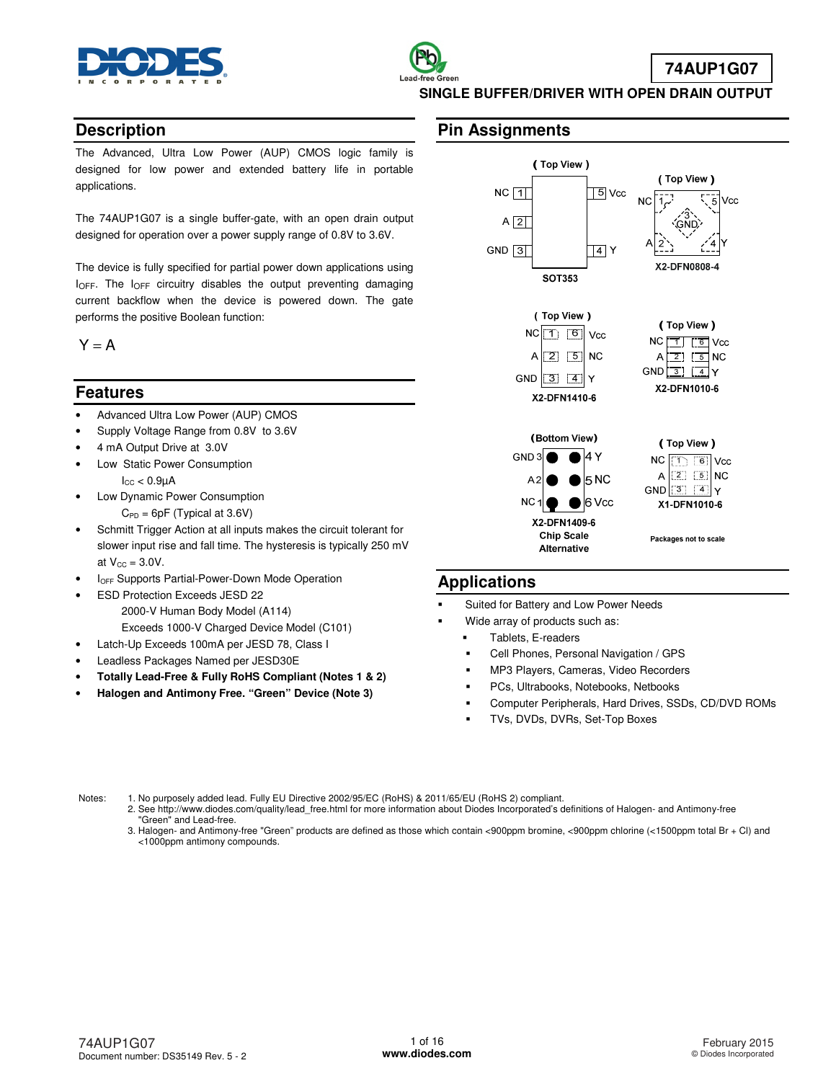

### **Description**

The Advanced, Ultra Low Power (AUP) CMOS logic family is designed for low power and extended battery life in portable applications.

The 74AUP1G07 is a single buffer-gate, with an open drain output designed for operation over a power supply range of 0.8V to 3.6V.

The device is fully specified for partial power down applications using I<sub>OFF</sub>. The I<sub>OFF</sub> circuitry disables the output preventing damaging current backflow when the device is powered down. The gate performs the positive Boolean function:

 $Y = A$ 

### **Features**

- Advanced Ultra Low Power (AUP) CMOS
- Supply Voltage Range from 0.8V to 3.6V
- 4 mA Output Drive at 3.0V
- Low Static Power Consumption  $I_{CC}$  < 0.9 $\mu$ A
- Low Dynamic Power Consumption  $C_{PD} = 6pF$  (Typical at 3.6V)
- Schmitt Trigger Action at all inputs makes the circuit tolerant for slower input rise and fall time. The hysteresis is typically 250 mV at  $V_{CC} = 3.0V$ .
- **IOFF Supports Partial-Power-Down Mode Operation**
- ESD Protection Exceeds JESD 22 2000-V Human Body Model (A114) Exceeds 1000-V Charged Device Model (C101) Latch-Up Exceeds 100mA per JESD 78, Class I
- 
- Leadless Packages Named per JESD30E
- **Totally Lead-Free & Fully RoHS Compliant (Notes 1 & 2)**
- **Halogen and Antimony Free. "Green" Device (Note 3)**

### **Pin Assignments**



### **Applications**

- Suited for Battery and Low Power Needs
- Wide array of products such as:
	- Tablets, E-readers
	- Cell Phones, Personal Navigation / GPS
	- MP3 Players, Cameras, Video Recorders
	- PCs, Ultrabooks, Notebooks, Netbooks
	- Computer Peripherals, Hard Drives, SSDs, CD/DVD ROMs
	- TVs, DVDs, DVRs, Set-Top Boxes

Notes: 1. No purposely added lead. Fully EU Directive 2002/95/EC (RoHS) & 2011/65/EU (RoHS 2) compliant.

- 2. See [http://www.diodes.com/quality/lead\\_free.html fo](http://www.diodes.com/quality/lead_free.html)r more information about Diodes Incorporated's definitions of Halogen- and Antimony-free "Green" and Lead-free.
- 3. Halogen- and Antimony-free "Green" products are defined as those which contain <900ppm bromine, <900ppm chlorine (<1500ppm total Br + Cl) and <1000ppm antimony compounds.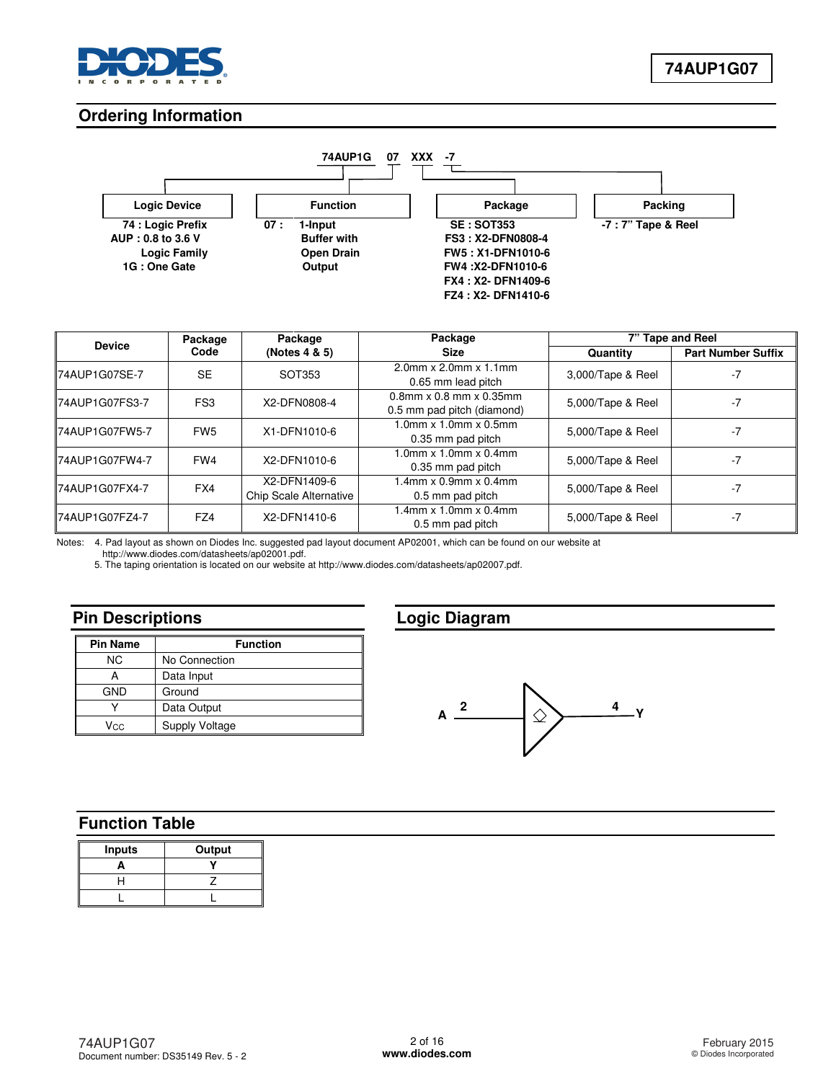

### **Ordering Information**



| <b>Device</b>         | Package         | Package                                | Package                                                                |                   | 7" Tape and Reel          |
|-----------------------|-----------------|----------------------------------------|------------------------------------------------------------------------|-------------------|---------------------------|
|                       | Code            | (Notes 4 & 5)                          | <b>Size</b>                                                            | Quantity          | <b>Part Number Suffix</b> |
| <b>74AUP1G07SE-7</b>  | <b>SE</b>       | SOT353                                 | $2.0$ mm x $2.0$ mm x $1.1$ mm<br>0.65 mm lead pitch                   | 3,000/Tape & Reel | $-7$                      |
| 74AUP1G07FS3-7        | FS <sub>3</sub> | X2-DFN0808-4                           | $0.8$ mm $\times$ 0.8 mm $\times$ 0.35mm<br>0.5 mm pad pitch (diamond) | 5,000/Tape & Reel | $-7$                      |
| IZ4AUP1G07FW5-7       | FW <sub>5</sub> | X1-DFN1010-6                           | $1.0$ mm x $1.0$ mm x $0.5$ mm<br>0.35 mm pad pitch                    | 5,000/Tape & Reel | $-7$                      |
| IZ4AUP1G07FW4-7       | FW4             | X2-DFN1010-6                           | $1.0$ mm x $1.0$ mm x $0.4$ mm<br>0.35 mm pad pitch                    | 5,000/Tape & Reel | $-7$                      |
| <b>74AUP1G07FX4-7</b> | FX4             | X2-DFN1409-6<br>Chip Scale Alternative | $1.4$ mm x $0.9$ mm x $0.4$ mm<br>0.5 mm pad pitch                     | 5,000/Tape & Reel | $-7$                      |
| 74AUP1G07FZ4-7        | FZ4             | X2-DFN1410-6                           | $1.4$ mm x $1.0$ mm x $0.4$ mm<br>0.5 mm pad pitch                     | 5,000/Tape & Reel | $-7$                      |

Notes: 4. Pad layout as shown on Diodes Inc. suggested pad layout document AP02001, which can be found on our website at

[http://www.diodes.com/datasheets/ap02001.pdf.](http://www.diodes.com/datasheets/ap02001.pdf) 

5. The taping orientation is located on our website at [http://www.diodes.com/datasheets/ap02007.pdf.](http://www.diodes.com/datasheets/ap02007.pdf) 

## **Pin Descriptions**

| <b>Pin Name</b> | <b>Function</b>       |  |  |  |  |  |
|-----------------|-----------------------|--|--|--|--|--|
| ΝC              | No Connection         |  |  |  |  |  |
| А               | Data Input            |  |  |  |  |  |
| <b>GND</b>      | Ground                |  |  |  |  |  |
|                 | Data Output           |  |  |  |  |  |
| Vcc             | <b>Supply Voltage</b> |  |  |  |  |  |

## **Logic Diagram**



## **Function Table**

| <b>Inputs</b> | Output |
|---------------|--------|
|               |        |
|               |        |
|               |        |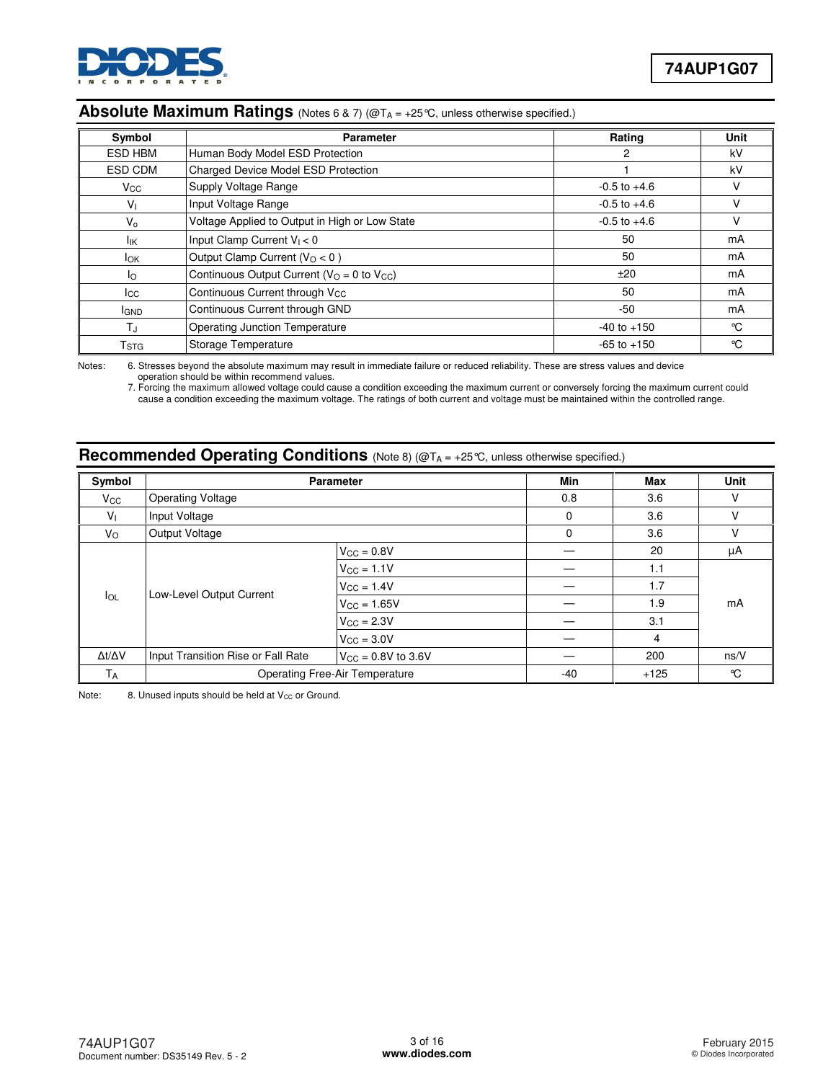

### Absolute Maximum Ratings (Notes 6 & 7) (@T<sub>A</sub> = +25°C, unless otherwise specified.)

| Symbol         | <b>Parameter</b>                                | Rating           | <b>Unit</b> |
|----------------|-------------------------------------------------|------------------|-------------|
| <b>ESD HBM</b> | Human Body Model ESD Protection                 | 2                | kV          |
| ESD CDM        | <b>Charged Device Model ESD Protection</b>      |                  | kV          |
| $V_{\rm GC}$   | Supply Voltage Range                            | $-0.5$ to $+4.6$ |             |
| $V_{1}$        | Input Voltage Range                             | $-0.5$ to $+4.6$ | v           |
| V <sub>o</sub> | Voltage Applied to Output in High or Low State  | $-0.5$ to $+4.6$ | ν           |
| lικ            | Input Clamp Current $V_1 < 0$                   | 50               | mA          |
| lok.           | Output Clamp Current ( $VO < 0$ )               | 50               | mA          |
| lo.            | Continuous Output Current ( $VO = 0$ to $VCC$ ) | ±20              | mA          |
| lcc.           | Continuous Current through V <sub>CC</sub>      | 50               | mA          |
| <b>I</b> GND   | Continuous Current through GND                  | $-50$            | mA          |
| $T_{\rm J}$    | <b>Operating Junction Temperature</b>           | $-40$ to $+150$  | °C          |
| Tstg           | Storage Temperature                             | $-65$ to $+150$  | °C          |

Notes: 6. Stresses beyond the absolute maximum may result in immediate failure or reduced reliability. These are stress values and device operation should be within recommend values.

 7. Forcing the maximum allowed voltage could cause a condition exceeding the maximum current or conversely forcing the maximum current could cause a condition exceeding the maximum voltage. The ratings of both current and voltage must be maintained within the controlled range.

### **Recommended Operating Conditions** (Note 8) (@TA = +25°C, unless otherwise specified.)

| Symbol              |                                    | <b>Parameter</b>                      | Min   | Max    | Unit |  |
|---------------------|------------------------------------|---------------------------------------|-------|--------|------|--|
| $V_{\rm CC}$        | <b>Operating Voltage</b>           |                                       | 0.8   | 3.6    | v    |  |
| V <sub>1</sub>      | Input Voltage                      |                                       | 0     | 3.6    | V    |  |
| $V_{\rm O}$         | Output Voltage                     |                                       | 0     | 3.6    | V    |  |
|                     |                                    | $V_{\rm CC} = 0.8V$                   |       | 20     | μA   |  |
|                     | Low-Level Output Current           | $V_{\text{CC}} = 1.1V$                |       | 1.1    |      |  |
|                     |                                    | $V_{\rm CC} = 1.4V$                   |       | 1.7    | mA   |  |
| $I_{OL}$            |                                    | $V_{CC} = 1.65V$                      |       | 1.9    |      |  |
|                     |                                    | $V_{\rm CC} = 2.3V$                   |       | 3.1    |      |  |
|                     |                                    | $V_{\text{CC}} = 3.0V$                |       | 4      |      |  |
| $\Delta t/\Delta V$ | Input Transition Rise or Fall Rate | $V_{\text{CC}} = 0.8V$ to 3.6V        |       | 200    | ns/V |  |
| $T_A$               |                                    | <b>Operating Free-Air Temperature</b> | $-40$ | $+125$ | °C   |  |

Note: 8. Unused inputs should be held at  $V_{CC}$  or Ground.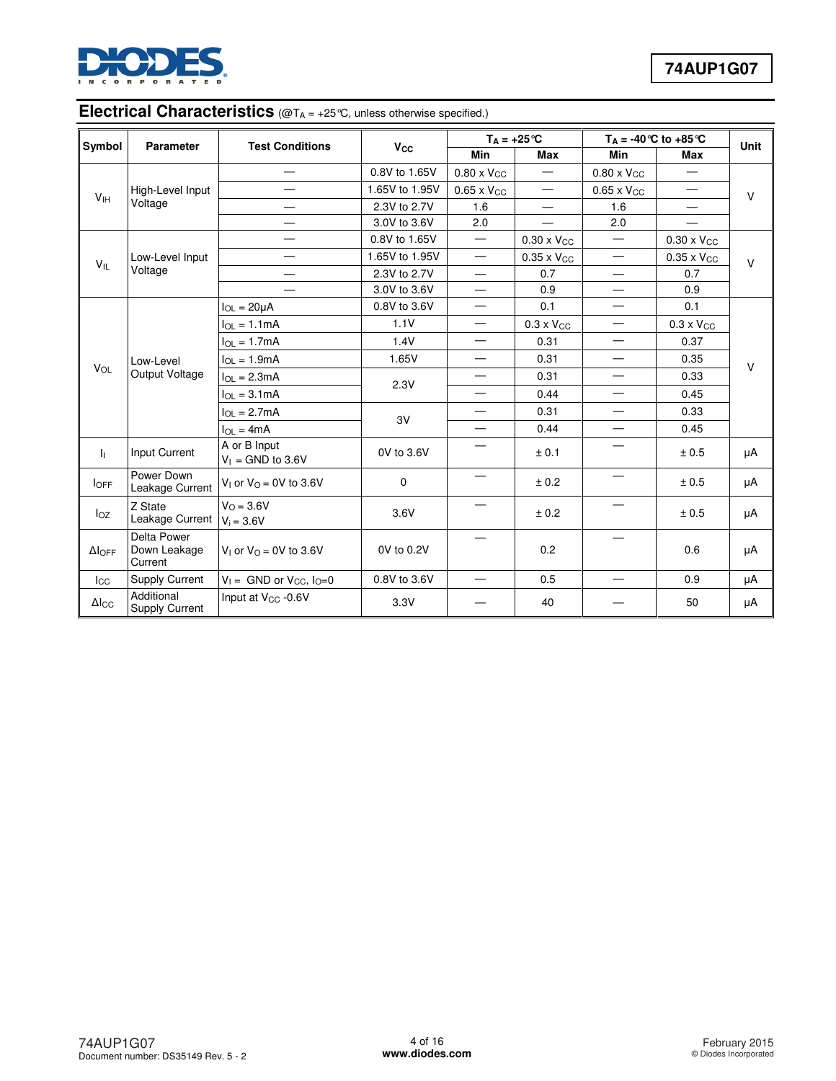

# **Electrical Characteristics** (@T<sub>A = +25</sub>°C, unless otherwise specified.)

| Symbol              | <b>Parameter</b>                       | <b>Test Conditions</b>                      | <b>V<sub>cc</sub></b> | $T_A = +25^{\circ}C$     |                          |                          | $T_A = -40$ °C to $+85$ °C | Unit   |
|---------------------|----------------------------------------|---------------------------------------------|-----------------------|--------------------------|--------------------------|--------------------------|----------------------------|--------|
|                     |                                        |                                             |                       | <b>Min</b>               | <b>Max</b>               | <b>Min</b>               | <b>Max</b>                 |        |
|                     |                                        | —                                           | 0.8V to 1.65V         | $0.80 \times V_{CC}$     | $\overline{\phantom{0}}$ | $0.80 \times V_{CC}$     |                            |        |
| V <sub>IH</sub>     | High-Level Input                       |                                             | 1.65V to 1.95V        | $0.65 \times V_{CC}$     |                          | $0.65 \times V_{CC}$     | $\overline{\phantom{0}}$   | $\vee$ |
|                     | Voltage                                |                                             | 2.3V to 2.7V          | 1.6                      |                          | 1.6                      |                            |        |
|                     |                                        |                                             | 3.0V to 3.6V          | 2.0                      | $\hspace{0.05cm}$        | 2.0                      |                            |        |
|                     |                                        |                                             | 0.8V to 1.65V         | $\equiv$                 | $0.30 \times V_{CC}$     |                          | $0.30 \times V_{CC}$       |        |
| $V_{IL}$            | Low-Level Input                        |                                             | 1.65V to 1.95V        |                          | $0.35 \times V_{CC}$     |                          | $0.35 \times V_{CC}$       | $\vee$ |
|                     | Voltage                                |                                             | 2.3V to 2.7V          | —                        | 0.7                      | $\overline{\phantom{0}}$ | 0.7                        |        |
|                     |                                        | 3.0V to 3.6V                                | $\qquad \qquad$       | 0.9                      | —                        | 0.9                      |                            |        |
|                     |                                        | $I_{OL} = 20 \mu A$                         | 0.8V to 3.6V          | $\overline{\phantom{0}}$ | 0.1                      |                          | 0.1                        |        |
|                     |                                        | $I_{OL} = 1.1mA$                            | 1.1V                  | $\qquad \qquad$          | $0.3 \times V_{CC}$      | —                        | $0.3 \times V_{CC}$        |        |
| Low-Level           |                                        | $I_{OL} = 1.7mA$                            | 1.4V                  | $\equiv$                 | 0.31                     | $\equiv$                 | 0.37                       |        |
|                     |                                        | $I_{OL} = 1.9mA$                            | 1.65V                 | $\overline{\phantom{0}}$ | 0.31                     |                          | 0.35                       | V      |
| VOL                 | Output Voltage                         | $I_{OL} = 2.3mA$                            |                       | $\qquad \qquad -$        | 0.31                     | $\overline{\phantom{0}}$ | 0.33                       |        |
|                     |                                        | $I_{\Omega I} = 3.1 \text{mA}$              | 2.3V                  | $\equiv$                 | 0.44                     | $\overline{\phantom{0}}$ | 0.45                       |        |
|                     |                                        | $I_{OL} = 2.7mA$                            |                       | $\overline{\phantom{0}}$ | 0.31                     |                          | 0.33                       |        |
|                     |                                        | $I_{OL} = 4mA$                              | 3V                    | —                        | 0.44                     | —                        | 0.45                       |        |
| 4.                  | Input Current                          | A or B Input<br>$V_1 =$ GND to 3.6V         | 0V to 3.6V            |                          | ± 0.1                    |                          | ± 0.5                      | μA     |
| <b>I</b> OFF        | Power Down<br>Leakage Current          | $V_1$ or $V_0 = 0V$ to 3.6V                 | 0                     |                          | ± 0.2                    |                          | ± 0.5                      | μA     |
| loz                 | Z State<br>Leakage Current             | $V_O = 3.6V$<br>$V_i = 3.6V$                | 3.6V                  |                          | ± 0.2                    |                          | ± 0.5                      | μA     |
| $\Delta$ loff       | Delta Power<br>Down Leakage<br>Current | V <sub>1</sub> or $V_{\Omega} = 0V$ to 3.6V | 0V to 0.2V            |                          | 0.2                      |                          | 0.6                        | μA     |
| $I_{\rm CC}$        | <b>Supply Current</b>                  | $V_1 =$ GND or $V_{CC}$ , $I_0=0$           | 0.8V to 3.6V          | $\overline{\phantom{0}}$ | 0.5                      | $\overline{\phantom{0}}$ | 0.9                        | μA     |
| $\Delta I_{\rm CC}$ | Additional<br><b>Supply Current</b>    | Input at V <sub>cc</sub> -0.6V              | 3.3V                  |                          | 40                       |                          | 50                         | μA     |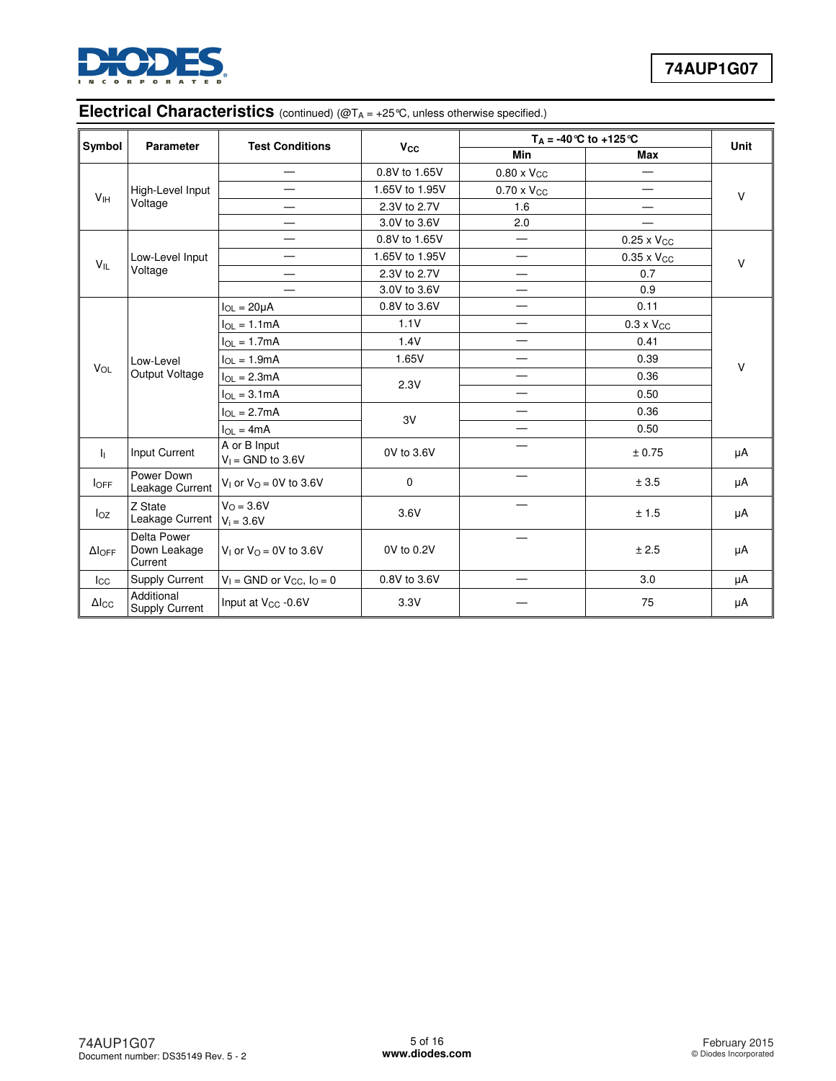

### **Electrical Characteristics** (continued) (@T<sub>A</sub> = +25°C, unless otherwise specified.)

| Symbol              | <b>Parameter</b>                       | <b>Test Conditions</b>                      | <b>V<sub>cc</sub></b>    | $T_A = -40$ °C to $+125$ °C |                          | Unit   |
|---------------------|----------------------------------------|---------------------------------------------|--------------------------|-----------------------------|--------------------------|--------|
|                     |                                        |                                             |                          | <b>Min</b>                  | <b>Max</b>               |        |
|                     |                                        | $\qquad \qquad \longleftarrow$              | 0.8V to 1.65V            | $0.80 \times V_{CC}$        | —                        |        |
| V <sub>IH</sub>     | High-Level Input                       |                                             | 1.65V to 1.95V           | $0.70 \times V_{CC}$        | $\overline{\phantom{0}}$ | $\vee$ |
|                     | Voltage                                |                                             | 2.3V to 2.7V             | 1.6                         |                          |        |
|                     |                                        |                                             | 3.0V to 3.6V             | 2.0                         | $\overline{\phantom{0}}$ |        |
|                     |                                        |                                             | 0.8V to 1.65V            | —                           | $0.25 \times V_{CC}$     |        |
| $V_{IL}$            | Low-Level Input                        |                                             | 1.65V to 1.95V           |                             | $0.35 \times V_{CC}$     | $\vee$ |
|                     | Voltage                                |                                             | 2.3V to 2.7V             | $\overline{\phantom{0}}$    | 0.7                      |        |
|                     |                                        |                                             | 3.0V to 3.6V             |                             | 0.9                      |        |
|                     |                                        | $I_{OL} = 20 \mu A$                         | 0.8V to 3.6V             |                             | 0.11                     |        |
|                     |                                        | $I_{OL} = 1.1mA$                            | 1.1V                     |                             | $0.3 \times V_{CC}$      |        |
|                     | $I_{OL} = 1.7mA$                       | 1.4V                                        | $\overline{\phantom{0}}$ | 0.41                        |                          |        |
|                     | Low-Level                              | $I_{OL} = 1.9mA$                            | 1.65V                    |                             | 0.39                     | $\vee$ |
| VOL                 | Output Voltage                         | $I_{OL} = 2.3mA$                            |                          |                             | 0.36                     |        |
|                     |                                        | $I_{OL} = 3.1mA$                            | 2.3V                     | —                           | 0.50                     |        |
|                     |                                        | $I_{OL} = 2.7mA$                            |                          |                             | 0.36                     |        |
|                     |                                        | $I_{OL} = 4mA$                              | 3V                       |                             | 0.50                     |        |
| h.                  | Input Current                          | A or B Input<br>$V_1 =$ GND to 3.6V         | 0V to 3.6V               |                             | ± 0.75                   | μA     |
| <b>IOFF</b>         | Power Down<br>Leakage Current          | $V_1$ or $V_0 = 0V$ to 3.6V                 | 0                        |                             | ± 3.5                    | μA     |
| $I_{OZ}$            | Z State<br>Leakage Current             | $V_O = 3.6V$<br>$V_i = 3.6V$                | 3.6V                     |                             | ± 1.5                    | μA     |
| $\Delta I_{OFF}$    | Delta Power<br>Down Leakage<br>Current | V <sub>1</sub> or $V_{\Omega} = 0V$ to 3.6V | 0V to 0.2V               |                             | ± 2.5                    | μA     |
| $_{\rm lcc}$        | Supply Current                         | $V_1$ = GND or $V_{CC}$ , $I_Q$ = 0         | 0.8V to 3.6V             | —                           | 3.0                      | μA     |
| $\Delta I_{\rm CC}$ | Additional<br><b>Supply Current</b>    | Input at V <sub>CC</sub> -0.6V              | 3.3V                     |                             | 75                       | μA     |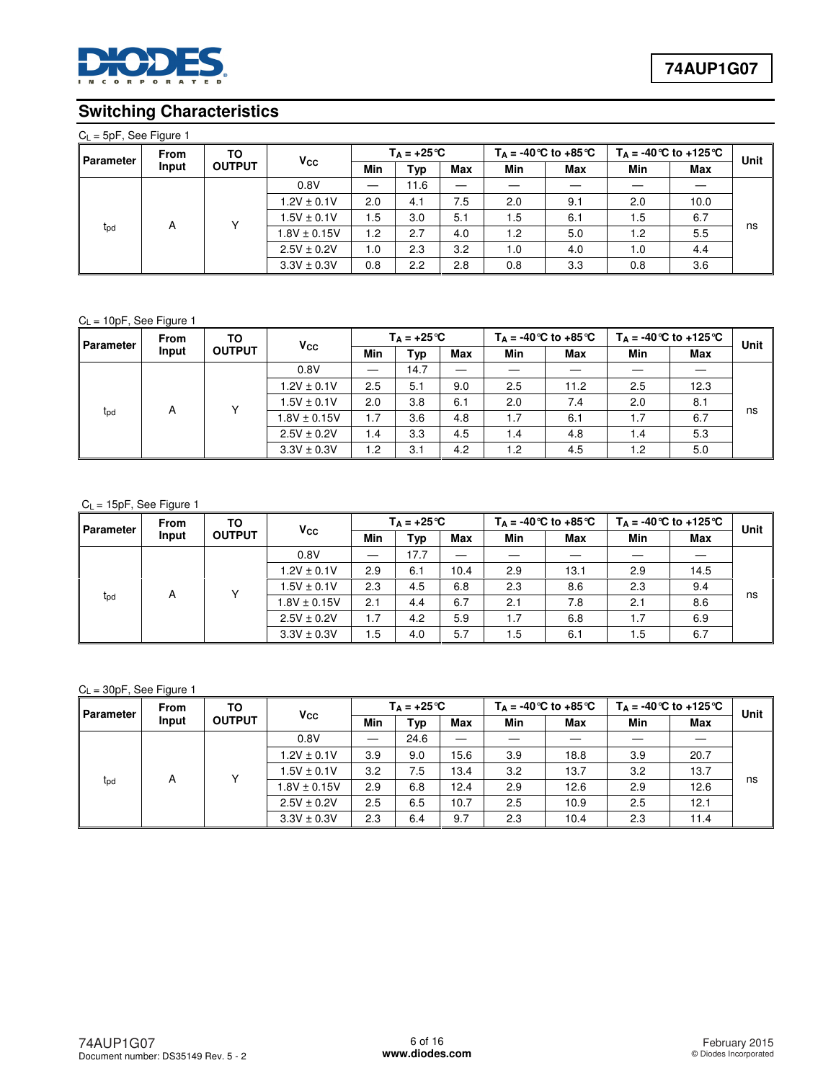

## **Switching Characteristics**

|  |  |  | $C_L = 5pF$ , See Figure 1 |  |
|--|--|--|----------------------------|--|
|--|--|--|----------------------------|--|

| <b>Parameter</b>     | <b>From</b><br>Input | ΤО<br><b>OUTPUT</b> |                  | $T_A = +25^{\circ}C$ |      |     | $T_A = -40$ °C to $+85$ °C |     | $T_A = -40$ °C to +125 °C |      | Unit |
|----------------------|----------------------|---------------------|------------------|----------------------|------|-----|----------------------------|-----|---------------------------|------|------|
|                      |                      |                     | $V_{\rm CC}$     | Min                  | Typ  | Max | Min                        | Max | Min                       | Max  |      |
|                      |                      |                     | 0.8V             |                      | 11.6 |     |                            |     |                           |      |      |
|                      |                      |                     | $1.2V \pm 0.1V$  | 2.0                  | 4.1  | 7.5 | 2.0                        | 9.1 | 2.0                       | 10.0 | ns   |
|                      |                      |                     | $1.5V \pm 0.1V$  | 1.5                  | 3.0  | 5.1 | 1.5                        | 6.1 | 1.5                       | 6.7  |      |
| A<br>t <sub>pd</sub> |                      |                     | $1.8V \pm 0.15V$ | 1.2                  | 2.7  | 4.0 | 1.2                        | 5.0 | 1.2                       | 5.5  |      |
|                      |                      |                     | $2.5V \pm 0.2V$  | 1.0                  | 2.3  | 3.2 | 1.0                        | 4.0 | 1.0                       | 4.4  |      |
|                      |                      |                     | $3.3V \pm 0.3V$  | 0.8                  | 2.2  | 2.8 | 0.8                        | 3.3 | 0.8                       | 3.6  |      |

#### $C_L = 10pF$ , See Figure 1

| <b>Parameter</b>     | <b>From</b><br>Input | TO<br><b>OUTPUT</b> | <b>V<sub>cc</sub></b> | $T_A = +25^{\circ}C$ |      |            | $T_A = -40$ °C to $+85$ °C |            | $T_A = -40$ °C to $+125$ °C |      | Unit |
|----------------------|----------------------|---------------------|-----------------------|----------------------|------|------------|----------------------------|------------|-----------------------------|------|------|
|                      |                      |                     |                       | Min                  | Typ  | <b>Max</b> | Min                        | <b>Max</b> | Min                         | Max  |      |
|                      |                      |                     | 0.8V                  |                      | 14.7 |            |                            |            |                             |      |      |
|                      |                      |                     | $1.2V \pm 0.1V$       | 2.5                  | 5.1  | 9.0        | 2.5                        | 11.2       | 2.5                         | 12.3 | ns   |
|                      |                      |                     | $1.5V \pm 0.1V$       | 2.0                  | 3.8  | 6.1        | 2.0                        | 7.4        | 2.0                         | 8.1  |      |
| A<br>t <sub>pd</sub> |                      |                     | $1.8V \pm 0.15V$      | 1.7                  | 3.6  | 4.8        | 1.7                        | 6.1        | 1.7                         | 6.7  |      |
|                      |                      |                     | $2.5V \pm 0.2V$       | 1.4                  | 3.3  | 4.5        | 1.4                        | 4.8        | 1.4                         | 5.3  |      |
|                      |                      |                     | $3.3V \pm 0.3V$       | 1.2                  | 3.1  | 4.2        | 1.2                        | 4.5        | 1.2                         | 5.0  |      |

#### $C_L = 15pF$ , See Figure 1

| <b>Parameter</b>     | <b>From</b><br>Input | TO<br><b>OUTPUT</b> | Vcc              | $T_A = +25^{\circ}C$ |      |            | $T_A = -40$ °C to $+85$ °C |      | $T_A = -40$ °C to +125 °C |      | Unit |
|----------------------|----------------------|---------------------|------------------|----------------------|------|------------|----------------------------|------|---------------------------|------|------|
|                      |                      |                     |                  | Min                  | Typ  | <b>Max</b> | Min                        | Max  | Min                       | Max  |      |
|                      |                      |                     | 0.8V             |                      | 17.7 |            |                            |      |                           |      |      |
|                      |                      |                     | $1.2V \pm 0.1V$  | 2.9                  | 6.1  | 10.4       | 2.9                        | 13.1 | 2.9                       | 14.5 | ns   |
|                      |                      |                     | $1.5V \pm 0.1V$  | 2.3                  | 4.5  | 6.8        | 2.3                        | 8.6  | 2.3                       | 9.4  |      |
| A<br>$t_{\text{pd}}$ |                      |                     | $1.8V \pm 0.15V$ | 2.1                  | 4.4  | 6.7        | 2.1                        | 7.8  | 2.1                       | 8.6  |      |
|                      |                      |                     | $2.5V \pm 0.2V$  | 1.7                  | 4.2  | 5.9        | 1.7                        | 6.8  | 1.7                       | 6.9  |      |
|                      |                      |                     | $3.3V \pm 0.3V$  | 1.5                  | 4.0  | 5.7        | 1.5                        | 6.1  | 1.5                       | 6.7  |      |

#### CL = 30pF, See Figure 1

| Parameter            | <b>From</b><br>Input | TO<br><b>OUTPUT</b> |                       | $T_A = +25^{\circ}C$ |      |      | $T_A = -40$ °C to $+85$ °C |      | $T_A = -40$ °C to +125 °C |            | Unit |
|----------------------|----------------------|---------------------|-----------------------|----------------------|------|------|----------------------------|------|---------------------------|------------|------|
|                      |                      |                     | <b>V<sub>cc</sub></b> | Min                  | Typ  | Max  | Min                        | Max  | Min                       | <b>Max</b> |      |
|                      |                      |                     | 0.8V                  |                      | 24.6 |      |                            |      |                           |            |      |
|                      |                      |                     | $1.2V \pm 0.1V$       | 3.9                  | 9.0  | 15.6 | 3.9                        | 18.8 | 3.9                       | 20.7       | ns   |
|                      |                      |                     | $1.5V \pm 0.1V$       | 3.2                  | 7.5  | 13.4 | 3.2                        | 13.7 | 3.2                       | 13.7       |      |
| A<br>t <sub>pd</sub> |                      |                     | $1.8V \pm 0.15V$      | 2.9                  | 6.8  | 12.4 | 2.9                        | 12.6 | 2.9                       | 12.6       |      |
|                      |                      |                     | $2.5V \pm 0.2V$       | 2.5                  | 6.5  | 10.7 | 2.5                        | 10.9 | 2.5                       | 12.1       |      |
|                      |                      |                     | $3.3V \pm 0.3V$       | 2.3                  | 6.4  | 9.7  | 2.3                        | 10.4 | 2.3                       | 11.4       |      |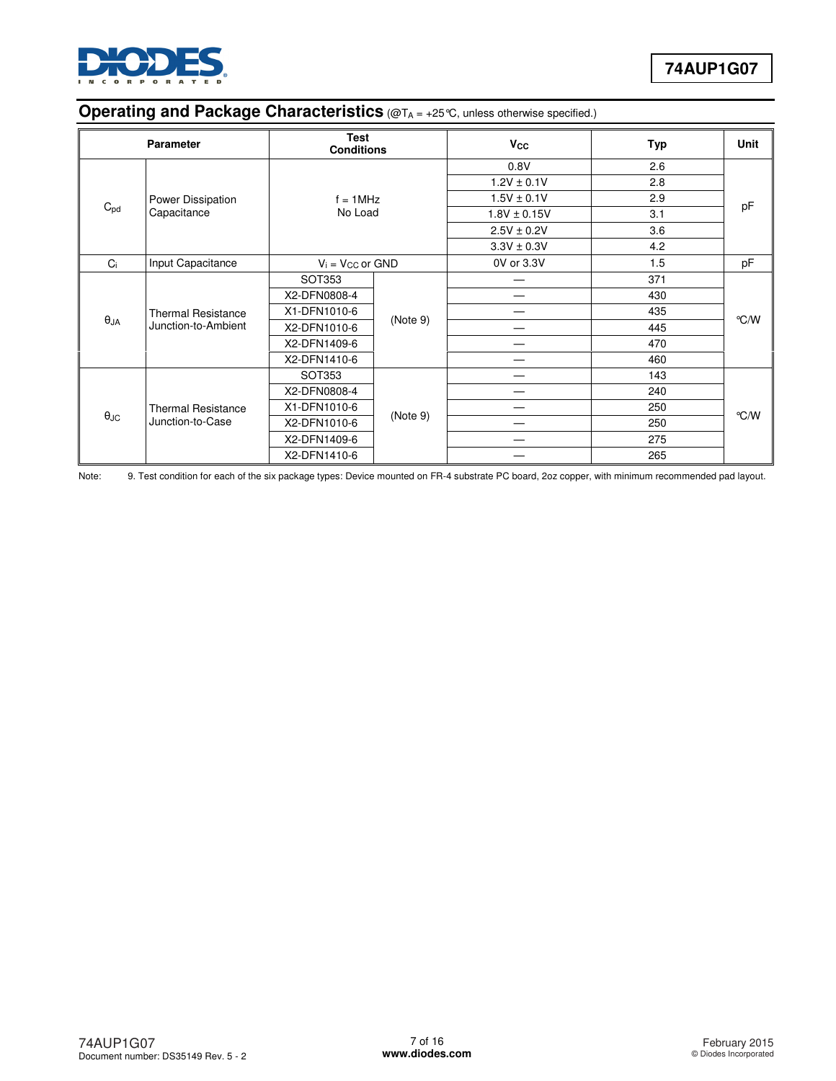

## **Operating and Package Characteristics** (@T<sub>A</sub> = +25 °C, unless otherwise specified.)

| <b>Parameter</b>     |                                                  | <b>Test</b><br><b>Conditions</b> |          | <b>V<sub>cc</sub></b> | <b>Typ</b> | <b>Unit</b> |
|----------------------|--------------------------------------------------|----------------------------------|----------|-----------------------|------------|-------------|
|                      |                                                  |                                  |          | 0.8V                  | 2.6        |             |
|                      |                                                  | $f = 1$ MHz<br>No Load           |          | $1.2V \pm 0.1V$       | 2.8        | pF          |
|                      | Power Dissipation                                |                                  |          | $1.5V \pm 0.1V$       | 2.9        |             |
| $C_{pd}$             | Capacitance                                      |                                  |          | $1.8V \pm 0.15V$      | 3.1        |             |
|                      |                                                  |                                  |          | $2.5V \pm 0.2V$       | 3.6        |             |
|                      |                                                  |                                  |          | $3.3V \pm 0.3V$       | 4.2        |             |
| Ci                   | Input Capacitance                                | $V_i = V_{CC}$ or GND            |          | 0V or 3.3V            | 1.5        | pF          |
|                      | <b>Thermal Resistance</b><br>Junction-to-Ambient | <b>SOT353</b>                    | (Note 9) | —                     | 371        |             |
|                      |                                                  | X2-DFN0808-4                     |          |                       | 430        |             |
|                      |                                                  | X1-DFN1010-6                     |          |                       | 435        |             |
| $\theta_{JA}$        |                                                  | X2-DFN1010-6                     |          |                       | 445        | °C/W        |
|                      |                                                  | X2-DFN1409-6                     |          |                       | 470        |             |
|                      |                                                  | X2-DFN1410-6                     |          | —                     | 460        |             |
|                      |                                                  | SOT353                           |          |                       | 143        |             |
|                      |                                                  | X2-DFN0808-4                     | (Note 9) |                       | 240        |             |
| $\theta_{\text{JC}}$ | <b>Thermal Resistance</b>                        | X1-DFN1010-6                     |          |                       | 250        | °C/W        |
|                      | Junction-to-Case                                 | X2-DFN1010-6                     |          |                       | 250        |             |
|                      |                                                  | X2-DFN1409-6                     |          |                       | 275        |             |
|                      |                                                  | X2-DFN1410-6                     |          |                       | 265        |             |

Note: 9. Test condition for each of the six package types: Device mounted on FR-4 substrate PC board, 2oz copper, with minimum recommended pad layout.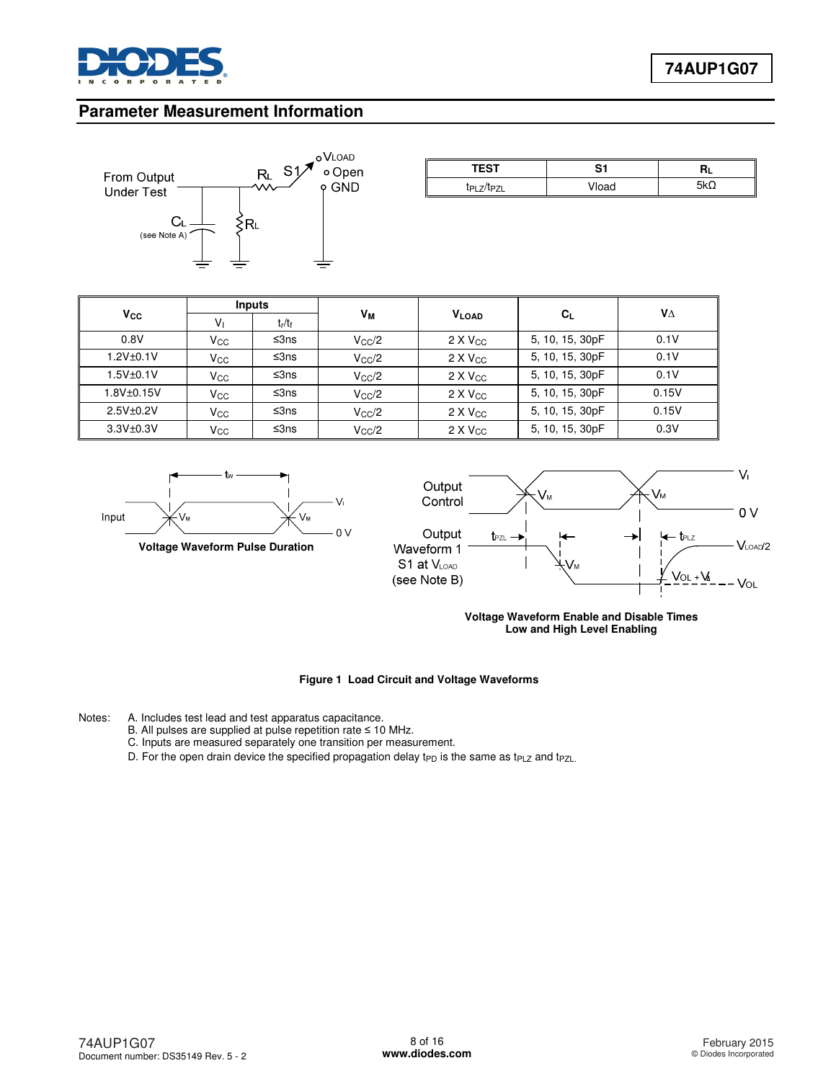

### **Parameter Measurement Information**



| -^- | ~<br>◡ |  |  |
|-----|--------|--|--|
|     |        |  |  |

|                  | <b>Inputs</b>   |           |                |                   |                 | VΔ    |
|------------------|-----------------|-----------|----------------|-------------------|-----------------|-------|
| $V_{\rm CC}$     | V <sub>1</sub>  | $t_r/t_f$ | Vм             | <b>VLOAD</b>      | $C_L$           |       |
| 0.8V             | $V_{\rm GC}$    | ≤3ns      | $V_{\rm CC}/2$ | $2 \times V_{CC}$ | 5, 10, 15, 30pF | 0.1V  |
| 1.2V±0.1V        | V <sub>CC</sub> | ≤3ns      | $V_{\rm CC}/2$ | $2 \times V_{CC}$ | 5, 10, 15, 30pF | 0.1V  |
| 1.5V±0.1V        | $V_{\rm CC}$    | ≤3ns      | $V_{\rm CC}/2$ | $2 \times V_{CC}$ | 5, 10, 15, 30pF | 0.1V  |
| $1.8V + 0.15V$   | $V_{\rm CC}$    | ≤3ns      | $V_{\rm CC}/2$ | $2 \times V_{CC}$ | 5, 10, 15, 30pF | 0.15V |
| $2.5V + 0.2V$    | $V_{\rm CC}$    | ≤3ns      | $V_{\rm CC}/2$ | $2 \times V_{CC}$ | 5, 10, 15, 30pF | 0.15V |
| $3.3V_{\pm}0.3V$ | Vcc             | ≤3ns      | $V_{\rm CC}/2$ | $2 \times V_{CC}$ | 5, 10, 15, 30pF | 0.3V  |





**Voltage Waveform Enable and Disable Times Low and High Level Enabling**

#### **Figure 1 Load Circuit and Voltage Waveforms**

Notes: A. Includes test lead and test apparatus capacitance.

- B. All pulses are supplied at pulse repetition rate ≤ 10 MHz.
	- C. Inputs are measured separately one transition per measurement.
	- D. For the open drain device the specified propagation delay t<sub>PD</sub> is the same as t<sub>PLZ</sub> and t<sub>PZL.</sub>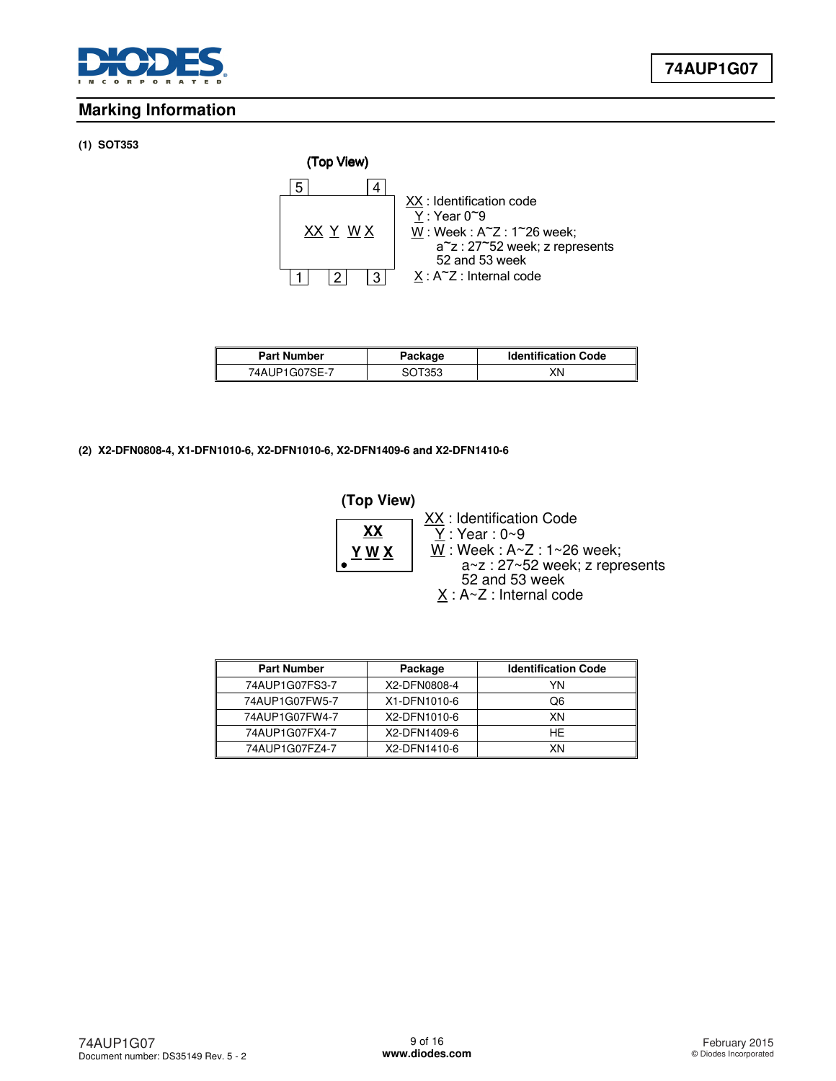

## **Marking Information**

### **(1) SOT353**



| <b>Part Number</b> | Package | <b>Identification Code</b> |
|--------------------|---------|----------------------------|
| 74AUP1G07SE-7      | SOT353  | XΝ                         |

#### **(2) X2-DFN0808-4, X1-DFN1010-6, X2-DFN1010-6, X2-DFN1409-6 and X2-DFN1410-6**



| <b>Part Number</b> | Package      | <b>Identification Code</b> |
|--------------------|--------------|----------------------------|
| 74AUP1G07FS3-7     | X2-DFN0808-4 | YN                         |
| 74AUP1G07FW5-7     | X1-DFN1010-6 | Q6                         |
| 74AUP1G07FW4-7     | X2-DFN1010-6 | XN                         |
| 74AUP1G07FX4-7     | X2-DFN1409-6 | HE.                        |
| 74AUP1G07FZ4-7     | X2-DFN1410-6 | ΧN                         |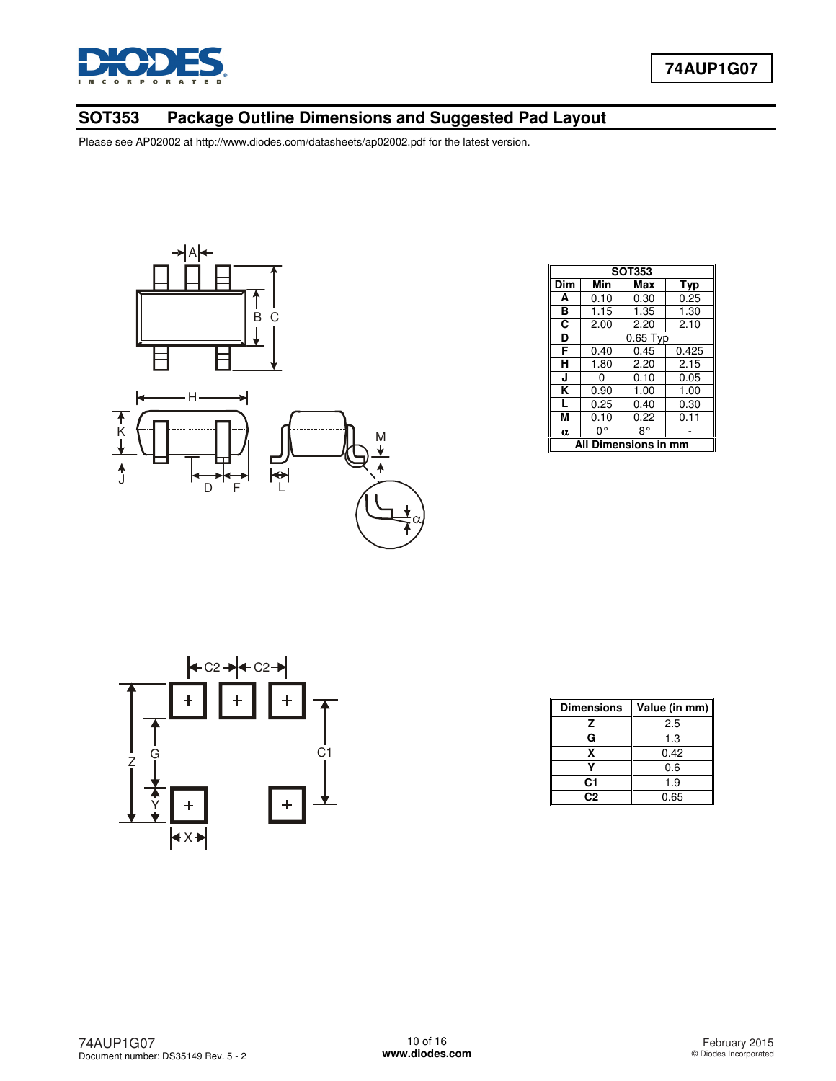

## **SOT353 Package Outline Dimensions and Suggested Pad Layout**



|          | <b>SOT353</b>        |            |       |  |  |  |
|----------|----------------------|------------|-------|--|--|--|
| Dim      | Min                  | Max        | Typ   |  |  |  |
| A        | 0.10                 | 0.30       | 0.25  |  |  |  |
| в        | 1.15                 | 1.35       | 1.30  |  |  |  |
| C        | 2.00                 | 2.20       | 2.10  |  |  |  |
| D        |                      | $0.65$ Typ |       |  |  |  |
| F        | 0.40                 | 0.45       | 0.425 |  |  |  |
| н        | 1.80                 | 2.20       | 2.15  |  |  |  |
| Ū        | 0                    | 0.10       | 0.05  |  |  |  |
| κ        | 0.90                 | 1.00       | 1.00  |  |  |  |
| L        | 0.25                 | 0.40       | 0.30  |  |  |  |
| М        | 0.10                 | 0.22       | 0.11  |  |  |  |
| $\alpha$ | 0°                   | 8°         |       |  |  |  |
|          | Dimensions in<br>Αll |            |       |  |  |  |



| <b>Dimensions</b> | Value (in mm) |
|-------------------|---------------|
| 7                 | 2.5           |
| G                 | 1.3           |
| x                 | 0.42          |
|                   | 0.6           |
| C1                | 1.9           |
| C2                | 0.65          |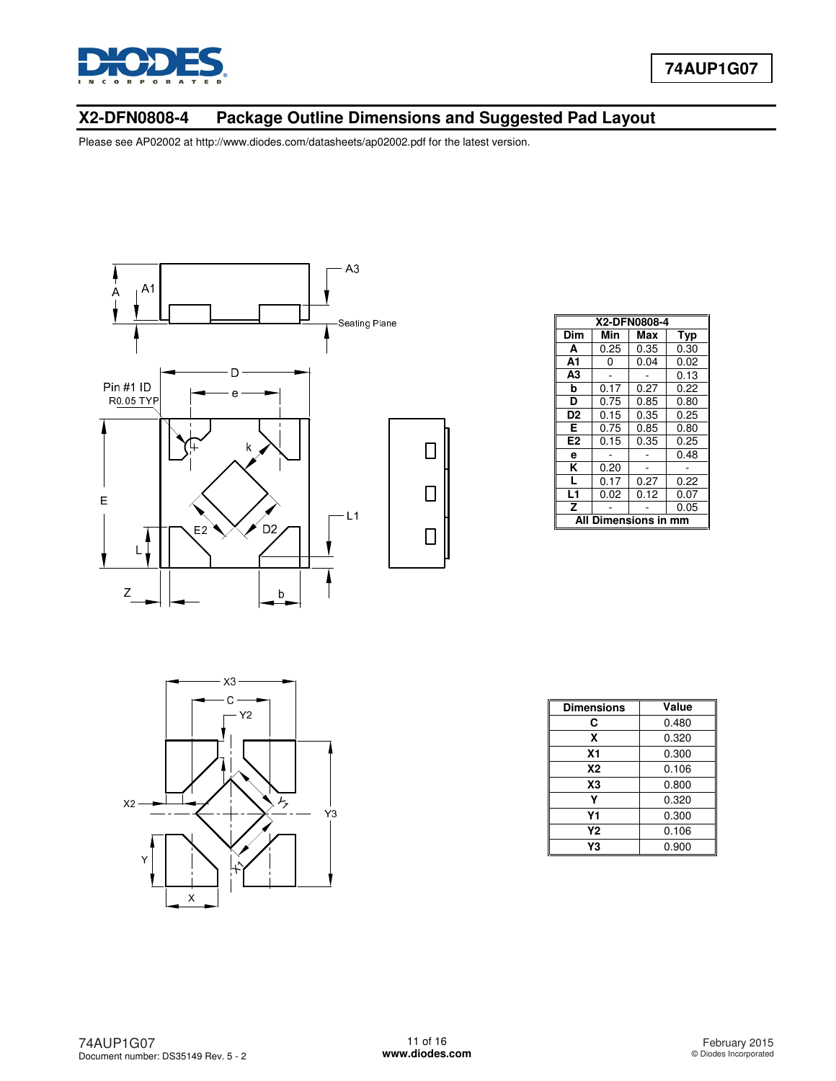

## **X2-DFN0808-4 Package Outline Dimensions and Suggested Pad Layout**



| X2-DFN0808-4   |                   |      |            |  |  |  |
|----------------|-------------------|------|------------|--|--|--|
| Dim            | Min               | Max  | <b>Typ</b> |  |  |  |
| A              | 0.25              | 0.35 | 0.30       |  |  |  |
| A1             | 0                 | 0.04 | 0.02       |  |  |  |
| A <sub>3</sub> |                   |      | 0.13       |  |  |  |
| b              | 0.17              | 0.27 | 0.22       |  |  |  |
| D              | 0.75              | 0.85 | 0.80       |  |  |  |
| D <sub>2</sub> | 0.15              | 0.35 | 0.25       |  |  |  |
| Е              | 0.75              | 0.85 | 0.80       |  |  |  |
| E <sub>2</sub> | 0.15              | 0.35 | 0.25       |  |  |  |
| е              |                   |      | 0.48       |  |  |  |
| ĸ              | 0.20              |      |            |  |  |  |
| L              | 0.17              | 0.27 | 0.22       |  |  |  |
| L1             | 0.02              | 0.12 | 0.07       |  |  |  |
| Z              |                   |      | 0.05       |  |  |  |
| A              | <b>Dimensions</b> |      |            |  |  |  |



| <b>Dimensions</b> | Value |
|-------------------|-------|
| С                 | 0.480 |
| X                 | 0.320 |
| Χ1                | 0.300 |
| Х2                | 0.106 |
| X3                | 0.800 |
| γ                 | 0.320 |
| Υ1                | 0.300 |
| Υ2                | 0.106 |
| Y3                | 0.900 |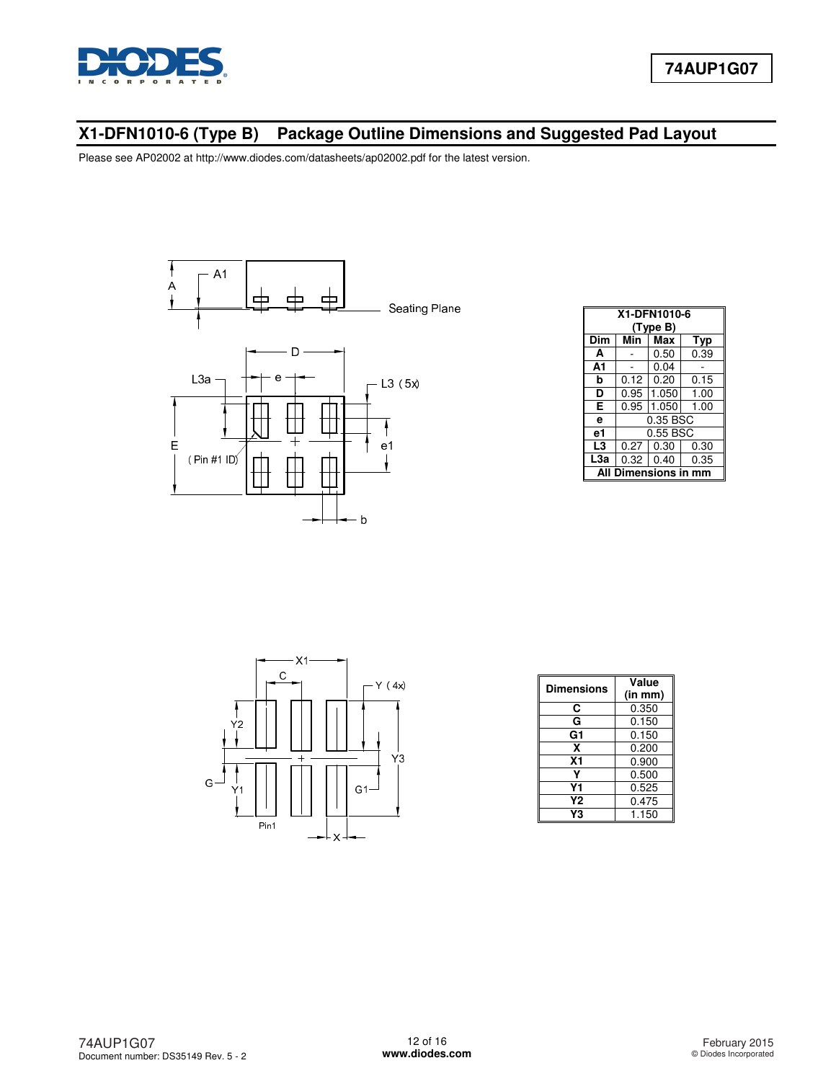

## **X1-DFN1010-6 (Type B) Package Outline Dimensions and Suggested Pad Layout**



|     | X1-DFN1010-6<br>(Type B) |          |      |  |  |  |
|-----|--------------------------|----------|------|--|--|--|
| Dim | Min                      | Max      | Typ  |  |  |  |
| A   |                          | 0.50     | 0.39 |  |  |  |
| A1  |                          | 0.04     |      |  |  |  |
| b   | 0.12                     | 0.20     | 0.15 |  |  |  |
| D   | 0.95                     | 1.050    | 1.00 |  |  |  |
| Е   | 0.95                     | 1.050    | 1.00 |  |  |  |
| e   |                          | 0.35 BSC |      |  |  |  |
| e1  |                          | 0.55 BSC |      |  |  |  |
| L3  | 0.27                     | 0.30     | 0.30 |  |  |  |
| L3a | 0.32                     | 0.40     | 0.35 |  |  |  |
| Δ   | Dimensions in mm         |          |      |  |  |  |



| <b>Dimensions</b> | Value<br>(in mm) |
|-------------------|------------------|
| C                 | 0.350            |
| G                 | 0.150            |
| G1                | 0.150            |
| x                 | 0.200            |
| <b>X1</b>         | 0.900            |
|                   | 0.500            |
| Υ1                | 0.525            |
| Υ2                | 0.475            |
| ٧З                | 1.150            |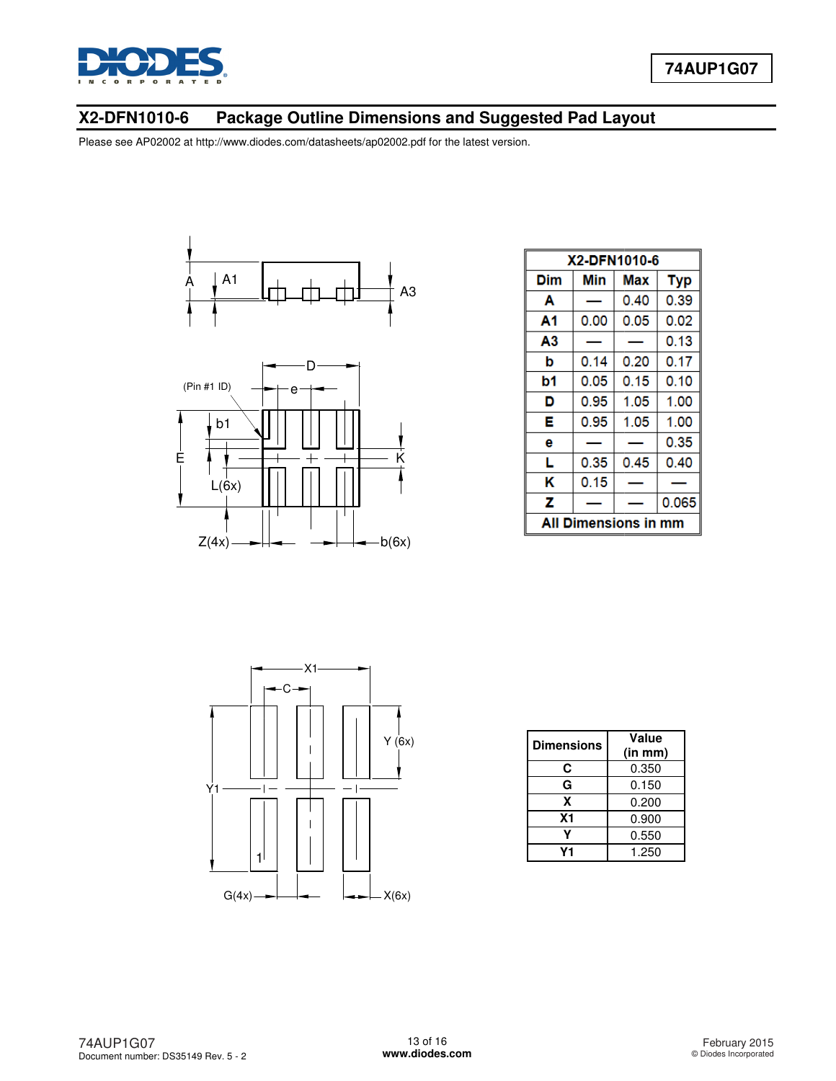

### **X2-DFN1010-6 Package Outline Dimensions Package Outline Dimensions and Suggested Pad Layout**

Please see AP02002 at [http://www.diodes.com/datasheets/ap02002.pdf fo](http://www.diodes.com/datasheets/ap02002.pdf)r the latest version.





|                               | X2-DFN1010-6 |      |            |  |  |  |
|-------------------------------|--------------|------|------------|--|--|--|
| Dim                           | Min          | Max  | <b>Typ</b> |  |  |  |
| Α                             |              | 0.40 | 0.39       |  |  |  |
| Α1                            | 0.00         | 0.05 | 0.02       |  |  |  |
| Α3                            |              |      | 0.13       |  |  |  |
| b                             | 0.14         | 0.20 | 0.17       |  |  |  |
| b1                            | 0.05         | 0.15 | 0.10       |  |  |  |
| D                             | 0.95         | 1.05 | 1.00       |  |  |  |
| Е                             | 0.95         | 1.05 | 1.00       |  |  |  |
| е                             |              |      | 0.35       |  |  |  |
| L                             | 0.35         | 0.45 | 0.40       |  |  |  |
| κ                             | 0.15         |      |            |  |  |  |
| z                             |              |      | 0.065      |  |  |  |
| <b>Dimensions in mm</b><br>Al |              |      |            |  |  |  |



| <b>Dimensions</b> | Value<br>(in mm) |
|-------------------|------------------|
| C                 | 0.350            |
| G                 | 0.150            |
| X                 | 0.200            |
| X <sub>1</sub>    | 0.900            |
|                   | 0.550            |
| ۷1                | 1.250            |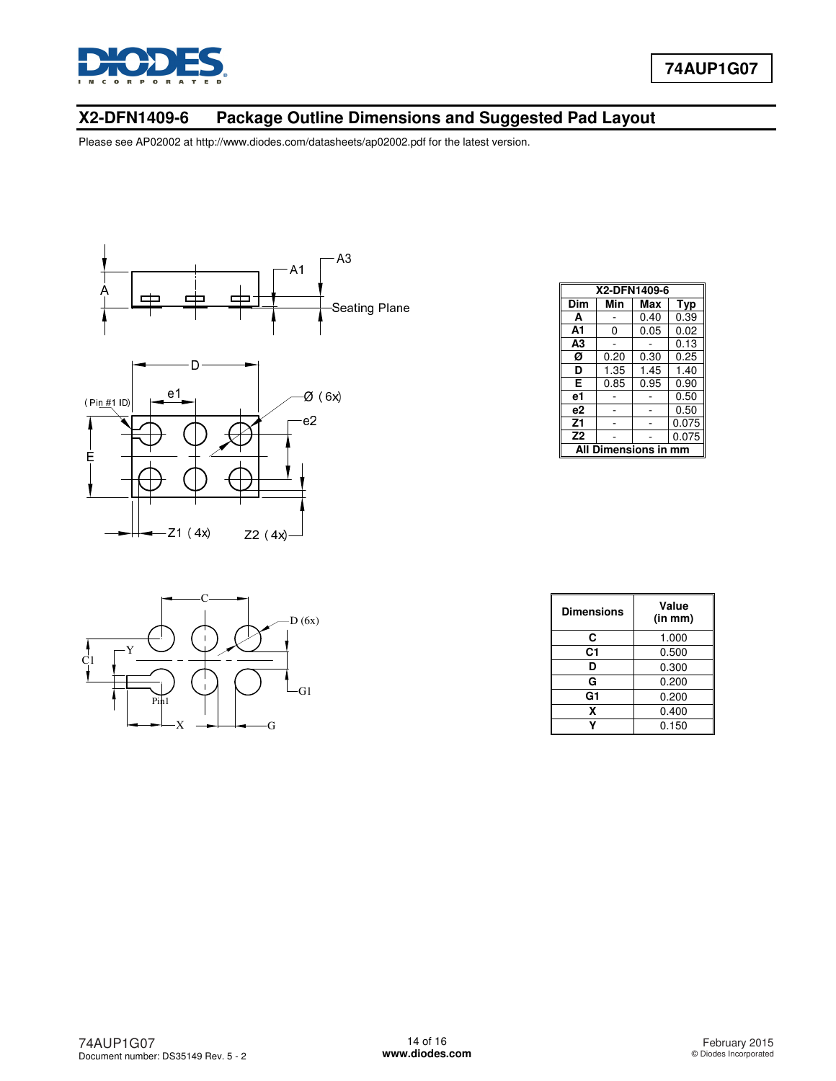

## **X2-DFN1409-6 Package Outline Dimensions and Suggested Pad Layout**



| X2-DFN1409-6         |      |      |       |  |
|----------------------|------|------|-------|--|
| Dim                  | Min  | Max  | Typ   |  |
| A                    |      | 0.40 | 0.39  |  |
| A1                   | 0    | 0.05 | 0.02  |  |
| A <sub>3</sub>       |      |      | 0.13  |  |
| Ø                    | 0.20 | 0.30 | 0.25  |  |
| D                    | 1.35 | 1.45 | 1.40  |  |
| Е                    | 0.85 | 0.95 | 0.90  |  |
| e1                   |      |      | 0.50  |  |
| e2                   |      |      | 0.50  |  |
| Z1                   |      |      | 0.075 |  |
| Z <sub>2</sub>       |      |      | 0.075 |  |
| All Dimensions in mm |      |      |       |  |



| <b>Dimensions</b> | Value<br>(in m <sub>m</sub> ) |
|-------------------|-------------------------------|
| C                 | 1.000                         |
| C1                | 0.500                         |
| D                 | 0.300                         |
| G                 | 0.200                         |
| G1                | 0.200                         |
| x                 | 0.400                         |
|                   | 0.150                         |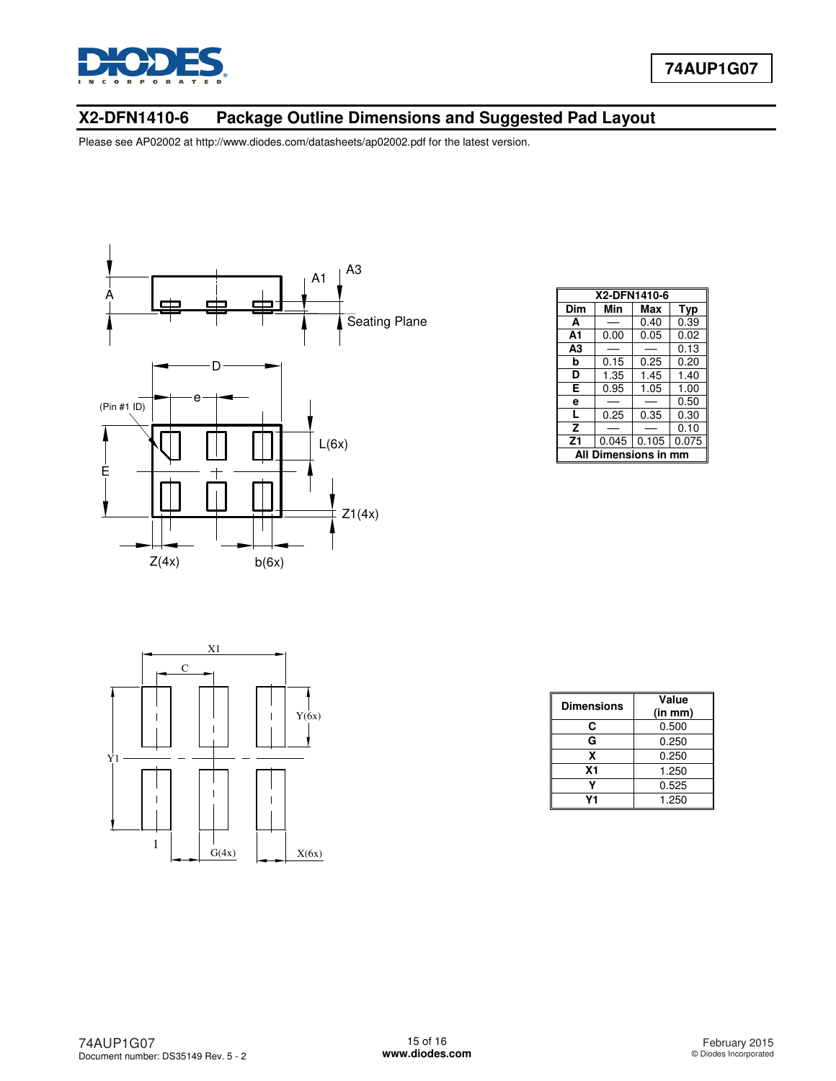

## **X2-DFN1410-6 Package Outline Dimensions and Suggested Pad Layout**



| X2-DFN1410-6            |       |       |       |  |
|-------------------------|-------|-------|-------|--|
| Dim                     | Min   | Max   | Typ   |  |
| A                       |       | 0.40  | 0.39  |  |
| А1                      | 0.00  | 0.05  | 0.02  |  |
| A3                      |       |       | 0.13  |  |
| b                       | 0.15  | 0.25  | 0.20  |  |
| D                       | 1.35  | 1.45  | 1.40  |  |
| E                       | 0.95  | 1.05  | 1.00  |  |
| e                       |       |       | 0.50  |  |
| L                       | 0.25  | 0.35  | 0.30  |  |
| z                       |       |       | 0.10  |  |
| Z <sub>1</sub>          | 0.045 | 0.105 | 0.075 |  |
| Dimensions in mm<br>ΔIΙ |       |       |       |  |



| <b>Dimensions</b> | Value<br>(in mm) |
|-------------------|------------------|
| С                 | 0.500            |
| G                 | 0.250            |
| x                 | 0.250            |
| X <sub>1</sub>    | 1.250            |
|                   | 0.525            |
| V1                | 1.250            |